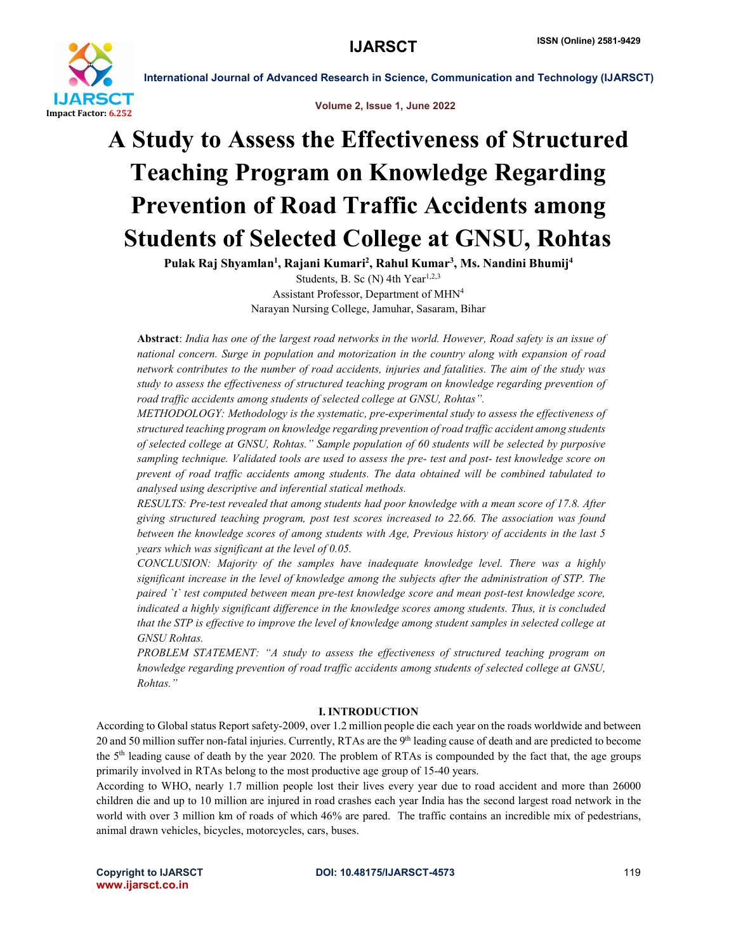



# A Study to Assess the Effectiveness of Structured Teaching Program on Knowledge Regarding Prevention of Road Traffic Accidents among Students of Selected College at GNSU, Rohtas

Pulak Raj Shyamlan<sup>1</sup>, Rajani Kumari<sup>2</sup>, Rahul Kumar<sup>3</sup>, Ms. Nandini Bhumij<sup>4</sup>

Students, B. Sc (N) 4th Year<sup>1,2,3</sup> Assistant Professor, Department of MHN4 Narayan Nursing College, Jamuhar, Sasaram, Bihar

Abstract: *India has one of the largest road networks in the world. However, Road safety is an issue of national concern. Surge in population and motorization in the country along with expansion of road network contributes to the number of road accidents, injuries and fatalities. The aim of the study was study to assess the effectiveness of structured teaching program on knowledge regarding prevention of road traffic accidents among students of selected college at GNSU, Rohtas".*

*METHODOLOGY: Methodology is the systematic, pre-experimental study to assess the effectiveness of structured teaching program on knowledge regarding prevention of road traffic accident among students of selected college at GNSU, Rohtas." Sample population of 60 students will be selected by purposive sampling technique. Validated tools are used to assess the pre- test and post- test knowledge score on prevent of road traffic accidents among students. The data obtained will be combined tabulated to analysed using descriptive and inferential statical methods.* 

*RESULTS: Pre-test revealed that among students had poor knowledge with a mean score of 17.8. After giving structured teaching program, post test scores increased to 22.66. The association was found between the knowledge scores of among students with Age, Previous history of accidents in the last 5 years which was significant at the level of 0.05.*

*CONCLUSION: Majority of the samples have inadequate knowledge level. There was a highly significant increase in the level of knowledge among the subjects after the administration of STP. The paired `t` test computed between mean pre-test knowledge score and mean post-test knowledge score, indicated a highly significant difference in the knowledge scores among students. Thus, it is concluded that the STP is effective to improve the level of knowledge among student samples in selected college at GNSU Rohtas.*

PROBLEM STATEMENT: "A study to assess the effectiveness of structured teaching program on *knowledge regarding prevention of road traffic accidents among students of selected college at GNSU, Rohtas."*

### I. INTRODUCTION

According to Global status Report safety-2009, over 1.2 million people die each year on the roads worldwide and between 20 and 50 million suffer non-fatal injuries. Currently, RTAs are the 9th leading cause of death and are predicted to become the 5th leading cause of death by the year 2020. The problem of RTAs is compounded by the fact that, the age groups primarily involved in RTAs belong to the most productive age group of 15-40 years.

According to WHO, nearly 1.7 million people lost their lives every year due to road accident and more than 26000 children die and up to 10 million are injured in road crashes each year India has the second largest road network in the world with over 3 million km of roads of which 46% are pared. The traffic contains an incredible mix of pedestrians, animal drawn vehicles, bicycles, motorcycles, cars, buses.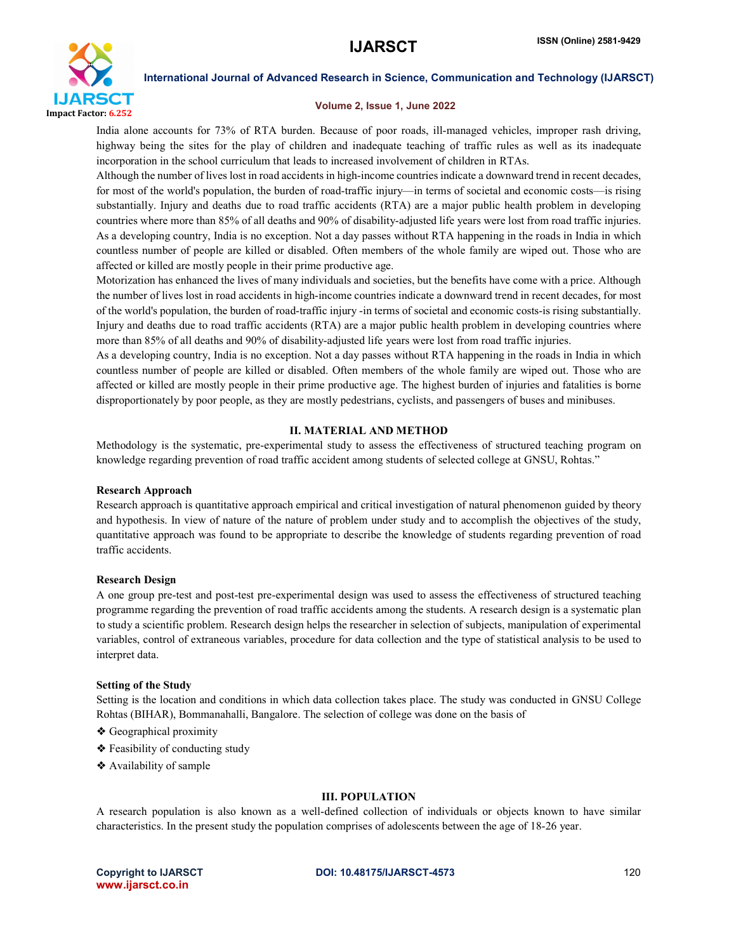

#### Volume 2, Issue 1, June 2022

India alone accounts for 73% of RTA burden. Because of poor roads, ill-managed vehicles, improper rash driving, highway being the sites for the play of children and inadequate teaching of traffic rules as well as its inadequate incorporation in the school curriculum that leads to increased involvement of children in RTAs.

Although the number of lives lost in road accidents in high-income countries indicate a downward trend in recent decades, for most of the world's population, the burden of road-traffic injury—in terms of societal and economic costs—is rising substantially. Injury and deaths due to road traffic accidents (RTA) are a major public health problem in developing countries where more than 85% of all deaths and 90% of disability-adjusted life years were lost from road traffic injuries. As a developing country, India is no exception. Not a day passes without RTA happening in the roads in India in which countless number of people are killed or disabled. Often members of the whole family are wiped out. Those who are affected or killed are mostly people in their prime productive age.

Motorization has enhanced the lives of many individuals and societies, but the benefits have come with a price. Although the number of lives lost in road accidents in high-income countries indicate a downward trend in recent decades, for most of the world's population, the burden of road-traffic injury -in terms of societal and economic costs-is rising substantially. Injury and deaths due to road traffic accidents (RTA) are a major public health problem in developing countries where more than 85% of all deaths and 90% of disability-adjusted life years were lost from road traffic injuries.

As a developing country, India is no exception. Not a day passes without RTA happening in the roads in India in which countless number of people are killed or disabled. Often members of the whole family are wiped out. Those who are affected or killed are mostly people in their prime productive age. The highest burden of injuries and fatalities is borne disproportionately by poor people, as they are mostly pedestrians, cyclists, and passengers of buses and minibuses.

#### II. MATERIAL AND METHOD

Methodology is the systematic, pre-experimental study to assess the effectiveness of structured teaching program on knowledge regarding prevention of road traffic accident among students of selected college at GNSU, Rohtas."

#### Research Approach

Research approach is quantitative approach empirical and critical investigation of natural phenomenon guided by theory and hypothesis. In view of nature of the nature of problem under study and to accomplish the objectives of the study, quantitative approach was found to be appropriate to describe the knowledge of students regarding prevention of road traffic accidents.

#### Research Design

A one group pre-test and post-test pre-experimental design was used to assess the effectiveness of structured teaching programme regarding the prevention of road traffic accidents among the students. A research design is a systematic plan to study a scientific problem. Research design helps the researcher in selection of subjects, manipulation of experimental variables, control of extraneous variables, procedure for data collection and the type of statistical analysis to be used to interpret data.

#### Setting of the Study

Setting is the location and conditions in which data collection takes place. The study was conducted in GNSU College Rohtas (BIHAR), Bommanahalli, Bangalore. The selection of college was done on the basis of

- ❖ Geographical proximity
- ❖ Feasibility of conducting study
- ❖ Availability of sample

#### III. POPULATION

A research population is also known as a well-defined collection of individuals or objects known to have similar characteristics. In the present study the population comprises of adolescents between the age of 18-26 year.

www.ijarsct.co.in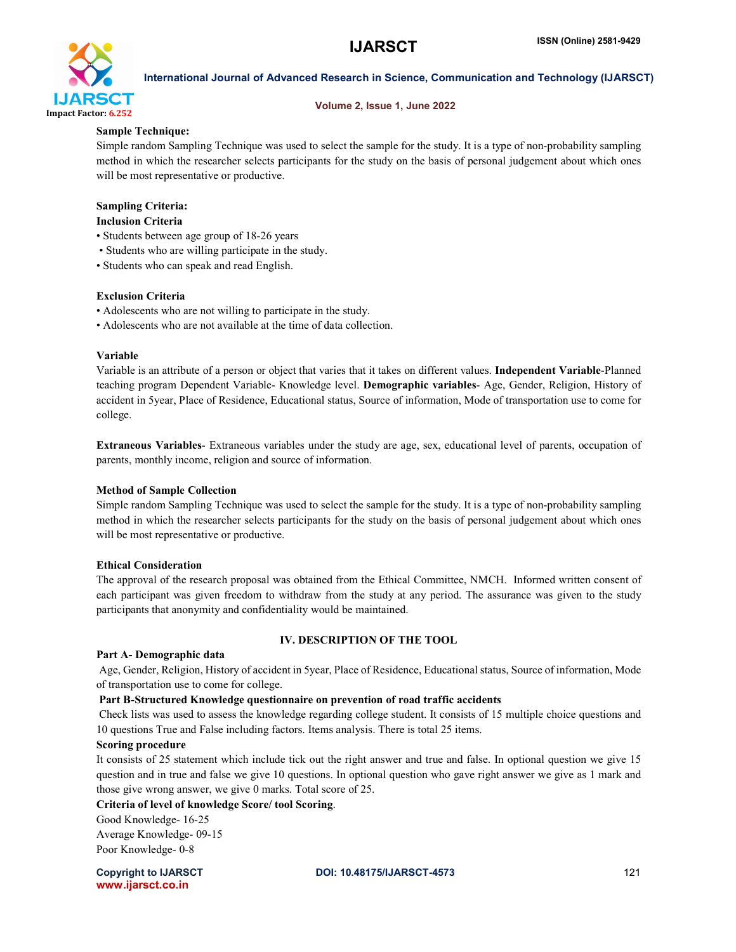

#### Volume 2, Issue 1, June 2022

#### Sample Technique:

Simple random Sampling Technique was used to select the sample for the study. It is a type of non-probability sampling method in which the researcher selects participants for the study on the basis of personal judgement about which ones will be most representative or productive.

# Sampling Criteria:

## Inclusion Criteria

- Students between age group of 18-26 years
- Students who are willing participate in the study.
- Students who can speak and read English.

### Exclusion Criteria

- Adolescents who are not willing to participate in the study.
- Adolescents who are not available at the time of data collection.

### Variable

Variable is an attribute of a person or object that varies that it takes on different values. Independent Variable-Planned teaching program Dependent Variable- Knowledge level. Demographic variables- Age, Gender, Religion, History of accident in 5year, Place of Residence, Educational status, Source of information, Mode of transportation use to come for college.

Extraneous Variables- Extraneous variables under the study are age, sex, educational level of parents, occupation of parents, monthly income, religion and source of information.

### Method of Sample Collection

Simple random Sampling Technique was used to select the sample for the study. It is a type of non-probability sampling method in which the researcher selects participants for the study on the basis of personal judgement about which ones will be most representative or productive.

#### Ethical Consideration

The approval of the research proposal was obtained from the Ethical Committee, NMCH. Informed written consent of each participant was given freedom to withdraw from the study at any period. The assurance was given to the study participants that anonymity and confidentiality would be maintained.

### IV. DESCRIPTION OF THE TOOL

#### Part A- Demographic data

Age, Gender, Religion, History of accident in 5year, Place of Residence, Educational status, Source of information, Mode of transportation use to come for college.

### Part B-Structured Knowledge questionnaire on prevention of road traffic accidents

Check lists was used to assess the knowledge regarding college student. It consists of 15 multiple choice questions and 10 questions True and False including factors. Items analysis. There is total 25 items.

### Scoring procedure

It consists of 25 statement which include tick out the right answer and true and false. In optional question we give 15 question and in true and false we give 10 questions. In optional question who gave right answer we give as 1 mark and those give wrong answer, we give 0 marks. Total score of 25.

### Criteria of level of knowledge Score/ tool Scoring.

Good Knowledge- 16-25 Average Knowledge- 09-15 Poor Knowledge- 0-8

www.ijarsct.co.in

Copyright to IJARSCT **DOI: 10.48175/IJARSCT-4573** 121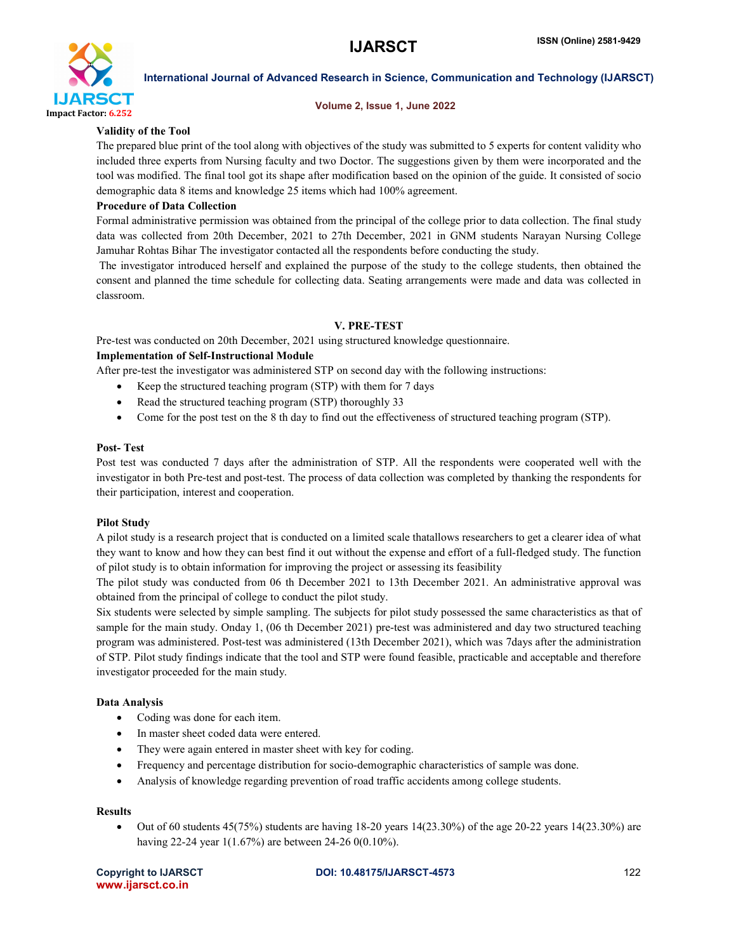

#### Volume 2, Issue 1, June 2022

#### Validity of the Tool

The prepared blue print of the tool along with objectives of the study was submitted to 5 experts for content validity who included three experts from Nursing faculty and two Doctor. The suggestions given by them were incorporated and the tool was modified. The final tool got its shape after modification based on the opinion of the guide. It consisted of socio demographic data 8 items and knowledge 25 items which had 100% agreement.

#### Procedure of Data Collection

Formal administrative permission was obtained from the principal of the college prior to data collection. The final study data was collected from 20th December, 2021 to 27th December, 2021 in GNM students Narayan Nursing College Jamuhar Rohtas Bihar The investigator contacted all the respondents before conducting the study.

The investigator introduced herself and explained the purpose of the study to the college students, then obtained the consent and planned the time schedule for collecting data. Seating arrangements were made and data was collected in classroom.

#### V. PRE-TEST

Pre-test was conducted on 20th December, 2021 using structured knowledge questionnaire.

#### Implementation of Self-Instructional Module

After pre-test the investigator was administered STP on second day with the following instructions:

- Keep the structured teaching program (STP) with them for 7 days
- Read the structured teaching program (STP) thoroughly 33
- Come for the post test on the 8 th day to find out the effectiveness of structured teaching program (STP).

#### Post- Test

Post test was conducted 7 days after the administration of STP. All the respondents were cooperated well with the investigator in both Pre-test and post-test. The process of data collection was completed by thanking the respondents for their participation, interest and cooperation.

#### Pilot Study

A pilot study is a research project that is conducted on a limited scale thatallows researchers to get a clearer idea of what they want to know and how they can best find it out without the expense and effort of a full-fledged study. The function of pilot study is to obtain information for improving the project or assessing its feasibility

The pilot study was conducted from 06 th December 2021 to 13th December 2021. An administrative approval was obtained from the principal of college to conduct the pilot study.

Six students were selected by simple sampling. The subjects for pilot study possessed the same characteristics as that of sample for the main study. Onday 1, (06 th December 2021) pre-test was administered and day two structured teaching program was administered. Post-test was administered (13th December 2021), which was 7days after the administration of STP. Pilot study findings indicate that the tool and STP were found feasible, practicable and acceptable and therefore investigator proceeded for the main study.

#### Data Analysis

- Coding was done for each item.
- In master sheet coded data were entered.
- They were again entered in master sheet with key for coding.
- Frequency and percentage distribution for socio-demographic characteristics of sample was done.
- Analysis of knowledge regarding prevention of road traffic accidents among college students.

#### Results

• Out of 60 students 45(75%) students are having  $18-20$  years  $14(23.30%)$  of the age 20-22 years  $14(23.30%)$  are having 22-24 year 1(1.67%) are between 24-26 0(0.10%).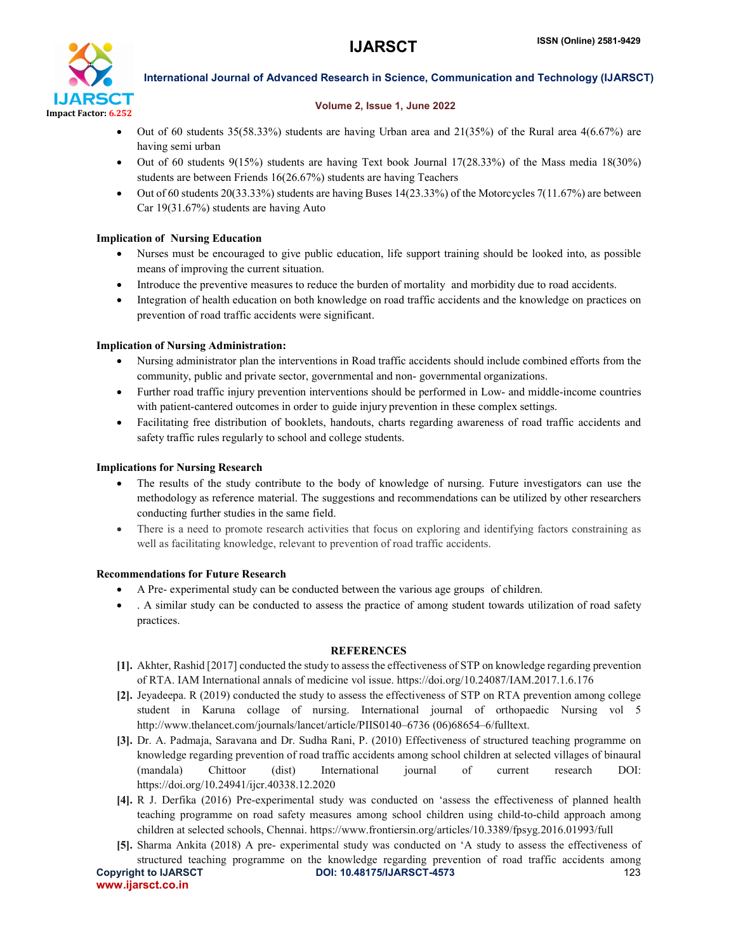

#### Volume 2, Issue 1, June 2022

- Out of 60 students 35(58.33%) students are having Urban area and 21(35%) of the Rural area 4(6.67%) are having semi urban
- Out of 60 students 9(15%) students are having Text book Journal 17(28.33%) of the Mass media 18(30%) students are between Friends 16(26.67%) students are having Teachers
- Out of 60 students 20(33.33%) students are having Buses 14(23.33%) of the Motorcycles 7(11.67%) are between Car 19(31.67%) students are having Auto

### Implication of Nursing Education

- Nurses must be encouraged to give public education, life support training should be looked into, as possible means of improving the current situation.
- Introduce the preventive measures to reduce the burden of mortality and morbidity due to road accidents.
- Integration of health education on both knowledge on road traffic accidents and the knowledge on practices on prevention of road traffic accidents were significant.

### Implication of Nursing Administration:

- Nursing administrator plan the interventions in Road traffic accidents should include combined efforts from the community, public and private sector, governmental and non- governmental organizations.
- Further road traffic injury prevention interventions should be performed in Low- and middle-income countries with patient-cantered outcomes in order to guide injury prevention in these complex settings.
- Facilitating free distribution of booklets, handouts, charts regarding awareness of road traffic accidents and safety traffic rules regularly to school and college students.

### Implications for Nursing Research

- The results of the study contribute to the body of knowledge of nursing. Future investigators can use the methodology as reference material. The suggestions and recommendations can be utilized by other researchers conducting further studies in the same field.
- There is a need to promote research activities that focus on exploring and identifying factors constraining as well as facilitating knowledge, relevant to prevention of road traffic accidents.

### Recommendations for Future Research

- A Pre- experimental study can be conducted between the various age groups of children.
- . A similar study can be conducted to assess the practice of among student towards utilization of road safety practices.

### **REFERENCES**

- [1]. Akhter, Rashid [2017] conducted the study to assess the effectiveness of STP on knowledge regarding prevention of RTA. IAM International annals of medicine vol issue. https://doi.org/10.24087/IAM.2017.1.6.176
- [2]. Jeyadeepa. R (2019) conducted the study to assess the effectiveness of STP on RTA prevention among college student in Karuna collage of nursing. International journal of orthopaedic Nursing vol 5 http://www.thelancet.com/journals/lancet/article/PIIS0140–6736 (06)68654–6/fulltext.
- [3]. Dr. A. Padmaja, Saravana and Dr. Sudha Rani, P. (2010) Effectiveness of structured teaching programme on knowledge regarding prevention of road traffic accidents among school children at selected villages of binaural (mandala) Chittoor (dist) International journal of current research DOI: https://doi.org/10.24941/ijcr.40338.12.2020
- [4]. R J. Derfika (2016) Pre-experimental study was conducted on 'assess the effectiveness of planned health teaching programme on road safety measures among school children using child-to-child approach among children at selected schools, Chennai. https://www.frontiersin.org/articles/10.3389/fpsyg.2016.01993/full
- Copyright to IJARSCT **DOI: 10.48175/IJARSCT-4573** 123 [5]. Sharma Ankita (2018) A pre- experimental study was conducted on 'A study to assess the effectiveness of structured teaching programme on the knowledge regarding prevention of road traffic accidents among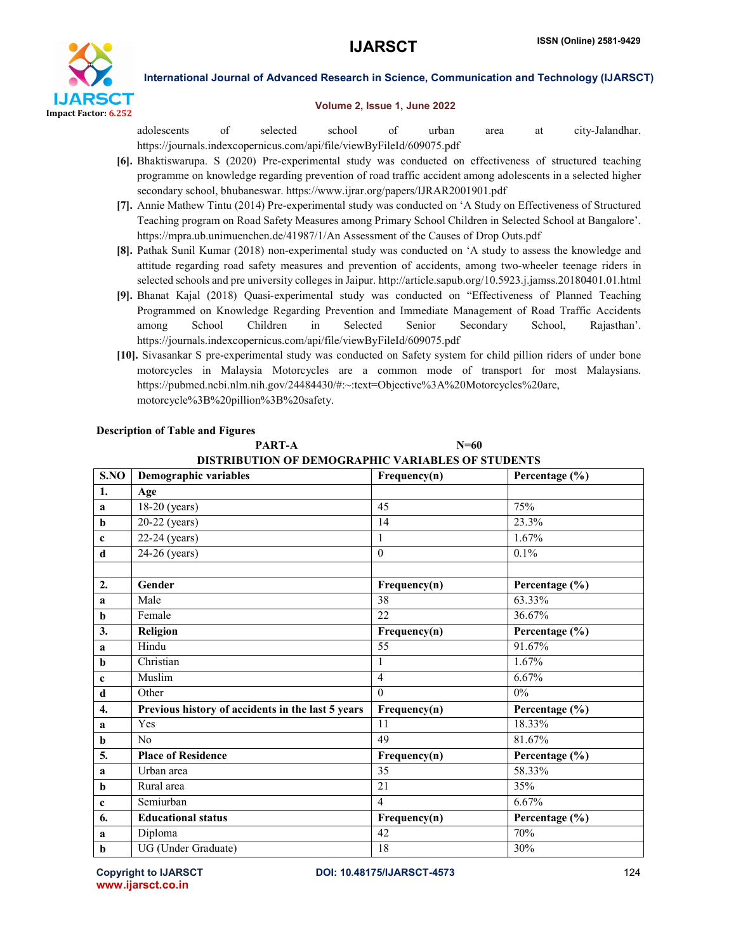

#### Volume 2, Issue 1, June 2022

adolescents of selected school of urban area at city-Jalandhar. https://journals.indexcopernicus.com/api/file/viewByFileId/609075.pdf

- [6]. Bhaktiswarupa. S (2020) Pre-experimental study was conducted on effectiveness of structured teaching programme on knowledge regarding prevention of road traffic accident among adolescents in a selected higher secondary school, bhubaneswar. https://www.ijrar.org/papers/IJRAR2001901.pdf
- [7]. Annie Mathew Tintu (2014) Pre-experimental study was conducted on 'A Study on Effectiveness of Structured Teaching program on Road Safety Measures among Primary School Children in Selected School at Bangalore'. https://mpra.ub.unimuenchen.de/41987/1/An Assessment of the Causes of Drop Outs.pdf
- [8]. Pathak Sunil Kumar (2018) non-experimental study was conducted on 'A study to assess the knowledge and attitude regarding road safety measures and prevention of accidents, among two-wheeler teenage riders in selected schools and pre university colleges in Jaipur. http://article.sapub.org/10.5923.j.jamss.20180401.01.html
- [9]. Bhanat Kajal (2018) Quasi-experimental study was conducted on "Effectiveness of Planned Teaching Programmed on Knowledge Regarding Prevention and Immediate Management of Road Traffic Accidents among School Children in Selected Senior Secondary School, Rajasthan'. https://journals.indexcopernicus.com/api/file/viewByFileId/609075.pdf
- [10]. Sivasankar S pre-experimental study was conducted on Safety system for child pillion riders of under bone motorcycles in Malaysia Motorcycles are a common mode of transport for most Malaysians. https://pubmed.ncbi.nlm.nih.gov/24484430/#:~:text=Objective%3A%20Motorcycles%20are, motorcycle%3B%20pillion%3B%20safety.

PART-A  $N=60$ 

| DISTRIBUTION OF DEMOGRAPHIC VARIABLES OF STUDENTS |                                                   |                  |                |  |  |  |  |  |  |  |
|---------------------------------------------------|---------------------------------------------------|------------------|----------------|--|--|--|--|--|--|--|
| S.NO                                              | Demographic variables                             | Frequency(n)     | Percentage (%) |  |  |  |  |  |  |  |
| 1.                                                | Age                                               |                  |                |  |  |  |  |  |  |  |
| $\mathbf{a}$                                      | 18-20 (years)                                     | 45               | 75%            |  |  |  |  |  |  |  |
| $\mathbf b$                                       | 20-22 (years)                                     | 14               | 23.3%          |  |  |  |  |  |  |  |
| $\mathbf c$                                       | 22-24 (years)                                     | 1                | 1.67%          |  |  |  |  |  |  |  |
| $\mathbf d$                                       | 24-26 (years)                                     | $\boldsymbol{0}$ | 0.1%           |  |  |  |  |  |  |  |
| 2.                                                | Gender                                            | Frequency(n)     | Percentage (%) |  |  |  |  |  |  |  |
| a                                                 | Male                                              | 38               | 63.33%         |  |  |  |  |  |  |  |
| $\mathbf b$                                       | Female                                            | 22               | 36.67%         |  |  |  |  |  |  |  |
| 3.                                                | Religion                                          | Frequency(n)     | Percentage (%) |  |  |  |  |  |  |  |
| a                                                 | Hindu                                             | 55               | 91.67%         |  |  |  |  |  |  |  |
| $\mathbf b$                                       | Christian                                         | 1                | 1.67%          |  |  |  |  |  |  |  |
| $\mathbf c$                                       | Muslim                                            | $\overline{4}$   | 6.67%          |  |  |  |  |  |  |  |
| $\mathbf d$                                       | Other                                             | $\theta$         | $0\%$          |  |  |  |  |  |  |  |
| $\overline{4}$ .                                  | Previous history of accidents in the last 5 years | Frequency(n)     | Percentage (%) |  |  |  |  |  |  |  |
| a                                                 | Yes                                               | $\overline{11}$  | 18.33%         |  |  |  |  |  |  |  |
| b                                                 | No                                                | 49               | 81.67%         |  |  |  |  |  |  |  |
| 5.                                                | <b>Place of Residence</b>                         | Frequency(n)     | Percentage (%) |  |  |  |  |  |  |  |
| a                                                 | Urban area                                        | 35               | 58.33%         |  |  |  |  |  |  |  |
| $\mathbf b$                                       | Rural area                                        | 21               | 35%            |  |  |  |  |  |  |  |
| $\mathbf c$                                       | Semiurban                                         | $\overline{4}$   | 6.67%          |  |  |  |  |  |  |  |
| 6.                                                | <b>Educational status</b>                         | Frequency(n)     | Percentage (%) |  |  |  |  |  |  |  |
| a                                                 | Diploma                                           | 42               | 70%            |  |  |  |  |  |  |  |
| $\mathbf b$                                       | UG (Under Graduate)                               | 18               | 30%            |  |  |  |  |  |  |  |

### Description of Table and Figures

www.ijarsct.co.in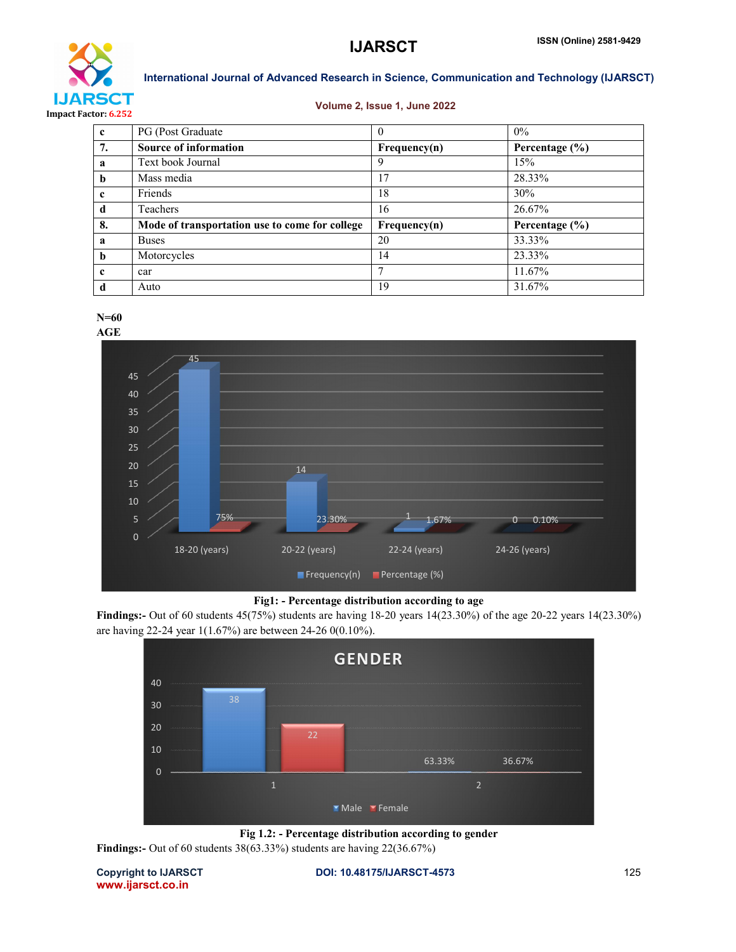

#### Volume 2, Issue 1, June 2022

| $\mathbf{c}$ | <b>PG</b> (Post Graduate)                      | $\theta$     | $0\%$              |
|--------------|------------------------------------------------|--------------|--------------------|
| 7.           | <b>Source of information</b>                   | Frequency(n) | Percentage $(\% )$ |
| a            | Text book Journal                              | 9            | 15%                |
| b            | Mass media                                     | 17           | 28.33%             |
| c            | Friends                                        | 18           | 30%                |
| d            | Teachers                                       | 16           | 26.67%             |
| 8.           | Mode of transportation use to come for college | Frequency(n) | Percentage $(\% )$ |
| a            | <b>Buses</b>                                   | 20           | 33.33%             |
| b            | Motorcycles                                    | 14           | 23.33%             |
| $\mathbf{c}$ | car                                            |              | 11.67%             |
| d            | Auto                                           | 19           | 31.67%             |





#### Fig1: - Percentage distribution according to age

Findings:- Out of 60 students 45(75%) students are having 18-20 years 14(23.30%) of the age 20-22 years 14(23.30%) are having 22-24 year 1(1.67%) are between 24-26 0(0.10%).



Fig 1.2: - Percentage distribution according to gender Findings:- Out of 60 students 38(63.33%) students are having 22(36.67%)

Copyright to IJARSCT **DOI: 10.48175/IJARSCT-4573** 125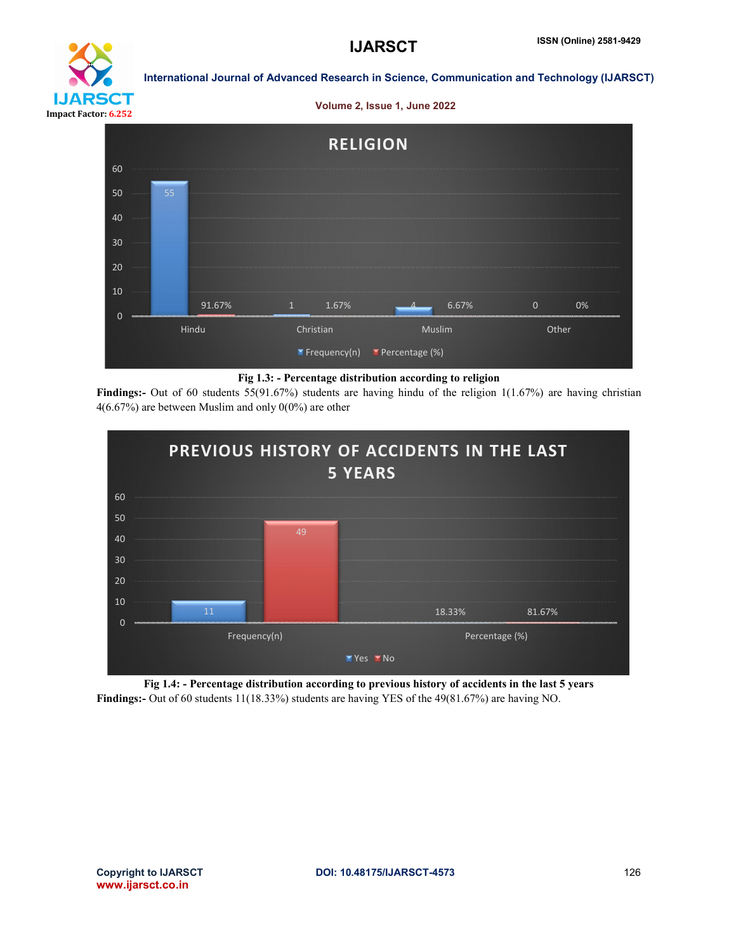

#### Volume 2, Issue 1, June 2022



#### Fig 1.3: - Percentage distribution according to religion

**Findings:**- Out of 60 students 55(91.67%) students are having hindu of the religion  $1(1.67%)$  are having christian 4(6.67%) are between Muslim and only 0(0%) are other



Fig 1.4: - Percentage distribution according to previous history of accidents in the last 5 years Findings:- Out of 60 students 11(18.33%) students are having YES of the 49(81.67%) are having NO.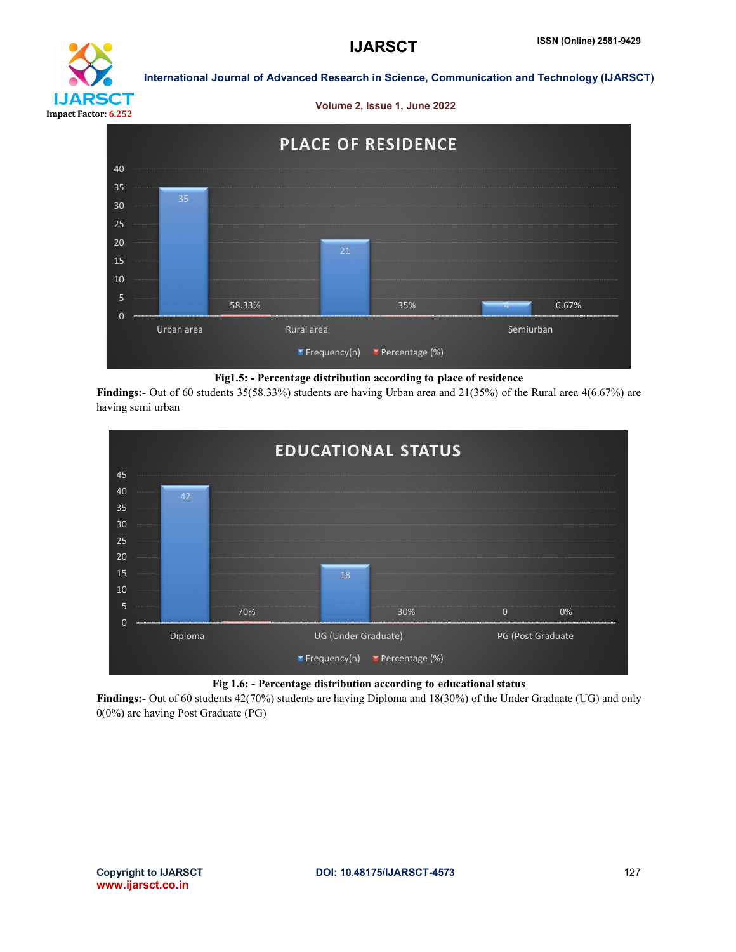

Volume 2, Issue 1, June 2022



#### Fig1.5: - Percentage distribution according to place of residence

Findings:- Out of 60 students 35(58.33%) students are having Urban area and 21(35%) of the Rural area 4(6.67%) are having semi urban





Findings:- Out of 60 students 42(70%) students are having Diploma and 18(30%) of the Under Graduate (UG) and only 0(0%) are having Post Graduate (PG)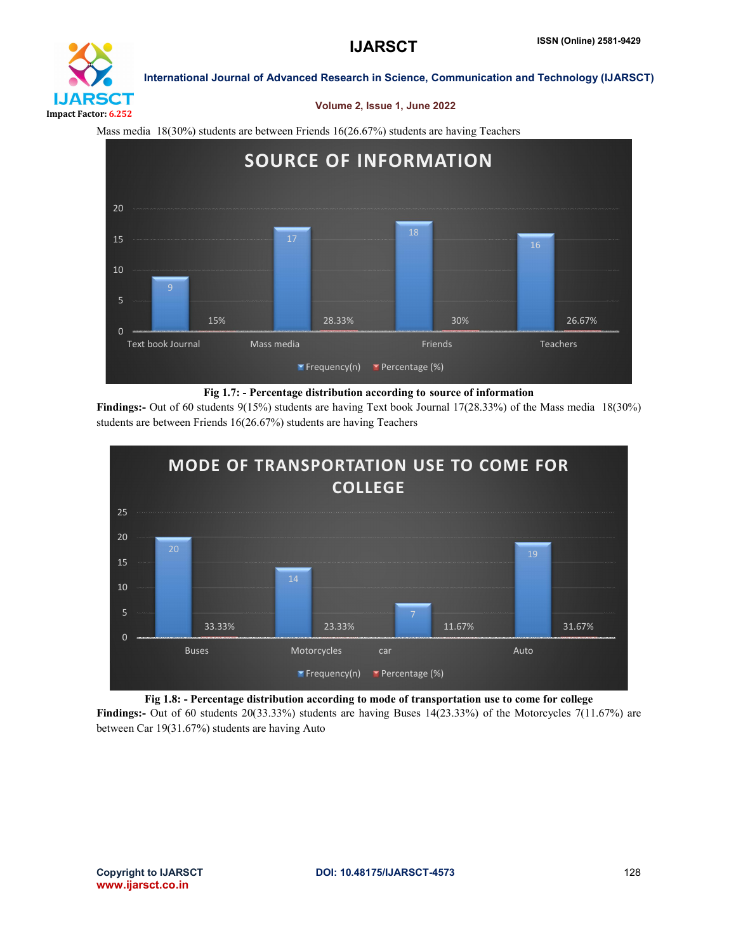

#### Volume 2, Issue 1, June 2022

Mass media 18(30%) students are between Friends 16(26.67%) students are having Teachers



#### Fig 1.7: - Percentage distribution according to source of information

Findings:- Out of 60 students 9(15%) students are having Text book Journal 17(28.33%) of the Mass media 18(30%) students are between Friends 16(26.67%) students are having Teachers



#### Fig 1.8: - Percentage distribution according to mode of transportation use to come for college

Findings:- Out of 60 students 20(33.33%) students are having Buses 14(23.33%) of the Motorcycles 7(11.67%) are between Car 19(31.67%) students are having Auto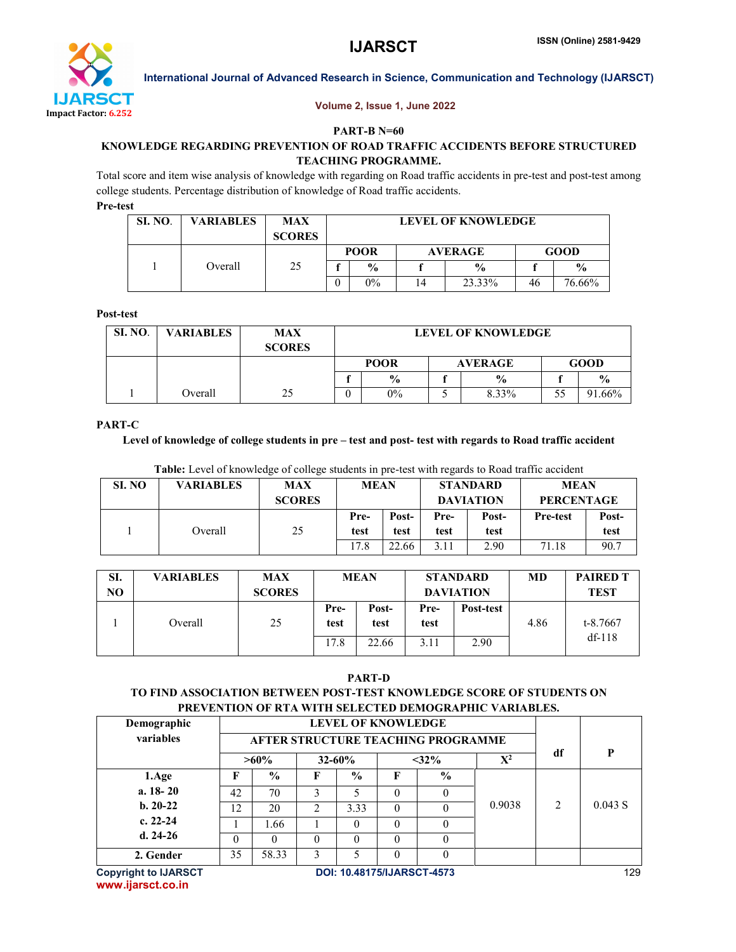

#### Volume 2, Issue 1, June 2022

#### PART-B N=60

### KNOWLEDGE REGARDING PREVENTION OF ROAD TRAFFIC ACCIDENTS BEFORE STRUCTURED TEACHING PROGRAMME.

Total score and item wise analysis of knowledge with regarding on Road traffic accidents in pre-test and post-test among college students. Percentage distribution of knowledge of Road traffic accidents.

Pre-test

| SI. NO. | <b>VARIABLES</b> | <b>MAX</b><br><b>SCORES</b> | <b>LEVEL OF KNOWLEDGE</b> |               |    |                |             |               |  |  |  |
|---------|------------------|-----------------------------|---------------------------|---------------|----|----------------|-------------|---------------|--|--|--|
|         |                  |                             |                           | <b>POOR</b>   |    | <b>AVERAGE</b> | <b>GOOD</b> |               |  |  |  |
|         | Overall          | 25                          |                           | $\frac{0}{0}$ |    | $\frac{0}{0}$  |             | $\frac{0}{0}$ |  |  |  |
|         |                  |                             |                           | $0\%$         | 14 | 23.33%         | 46          | 76.66%        |  |  |  |

#### Post-test

| <b>SI. NO.</b> | <b>VARIABLES</b> | <b>MAX</b><br><b>SCORES</b> | <b>LEVEL OF KNOWLEDGE</b> |               |  |                |             |               |  |  |
|----------------|------------------|-----------------------------|---------------------------|---------------|--|----------------|-------------|---------------|--|--|
|                |                  |                             |                           | <b>POOR</b>   |  | <b>AVERAGE</b> | <b>GOOD</b> |               |  |  |
|                |                  |                             |                           | $\frac{6}{9}$ |  | $\frac{6}{9}$  |             | $\frac{0}{0}$ |  |  |
|                | Overall          | 25                          |                           | $0\%$         |  | 8.33%          | 55          | 91.66%        |  |  |

#### PART-C

#### Level of knowledge of college students in pre – test and post- test with regards to Road traffic accident

| <b>Table:</b> Level of knowledge of college students in pre-test with regards to Road traffic accident |                  |                             |              |               |              |                                     |                                  |               |  |  |  |  |
|--------------------------------------------------------------------------------------------------------|------------------|-----------------------------|--------------|---------------|--------------|-------------------------------------|----------------------------------|---------------|--|--|--|--|
| SI. NO                                                                                                 | <b>VARIABLES</b> | <b>MAX</b><br><b>SCORES</b> | <b>MEAN</b>  |               |              | <b>STANDARD</b><br><b>DAVIATION</b> | <b>MEAN</b><br><b>PERCENTAGE</b> |               |  |  |  |  |
|                                                                                                        | Overall          |                             | Pre-<br>test | Post-<br>test | Pre-<br>test | Post-<br>test                       | <b>Pre-test</b>                  | Post-<br>test |  |  |  |  |

test

test

test

test

17.8 22.66 3.11 2.90 71.18 90.7

#### SI. NO VARIABLES MAX **SCORES** MEAN STANDARD DAVIATION MD PAIRED T **TEST** 1 Overall 25 Pretest Posttest Pretest Post-test 4.86 t-8.7667 17.8 22.66 3.11 2.90 df-118

#### PART-D

### TO FIND ASSOCIATION BETWEEN POST-TEST KNOWLEDGE SCORE OF STUDENTS ON PREVENTION OF RTA WITH SELECTED DEMOGRAPHIC VARIABLES.

| Demographic                 |                                          |                                    |                |               |          |               |        |                |         |  |
|-----------------------------|------------------------------------------|------------------------------------|----------------|---------------|----------|---------------|--------|----------------|---------|--|
| variables                   |                                          | AFTER STRUCTURE TEACHING PROGRAMME |                |               |          |               |        |                |         |  |
|                             |                                          | $>60\%$                            |                | $32 - 60\%$   |          | $<$ 32%       | $X^2$  | df             | P       |  |
| 1.Age                       | F                                        | $\frac{6}{6}$                      | F              | $\frac{0}{0}$ | F        | $\frac{0}{0}$ |        | $\mathfrak{D}$ | 0.043 S |  |
| $a. 18 - 20$                | 42                                       | 70                                 | 3              |               | $\Omega$ |               |        |                |         |  |
| $b. 20-22$                  | 12                                       | 20                                 | $\mathfrak{D}$ | 3.33          | $\Omega$ |               | 0.9038 |                |         |  |
| c. $22-24$                  |                                          | 1.66                               |                | $\Omega$      | $\Omega$ | 0             |        |                |         |  |
| $d. 24-26$                  | $\theta$                                 | 0                                  | $\Omega$       | $\Omega$      | $\Omega$ |               |        |                |         |  |
| 2. Gender                   | 35                                       | 58.33                              | 3              | 5             | $\Omega$ | 0             |        |                |         |  |
| <b>Copyright to IJARSCT</b> | 129<br><b>DOI: 10.48175/IJARSCT-4573</b> |                                    |                |               |          |               |        |                |         |  |

www.ijarsct.co.in

test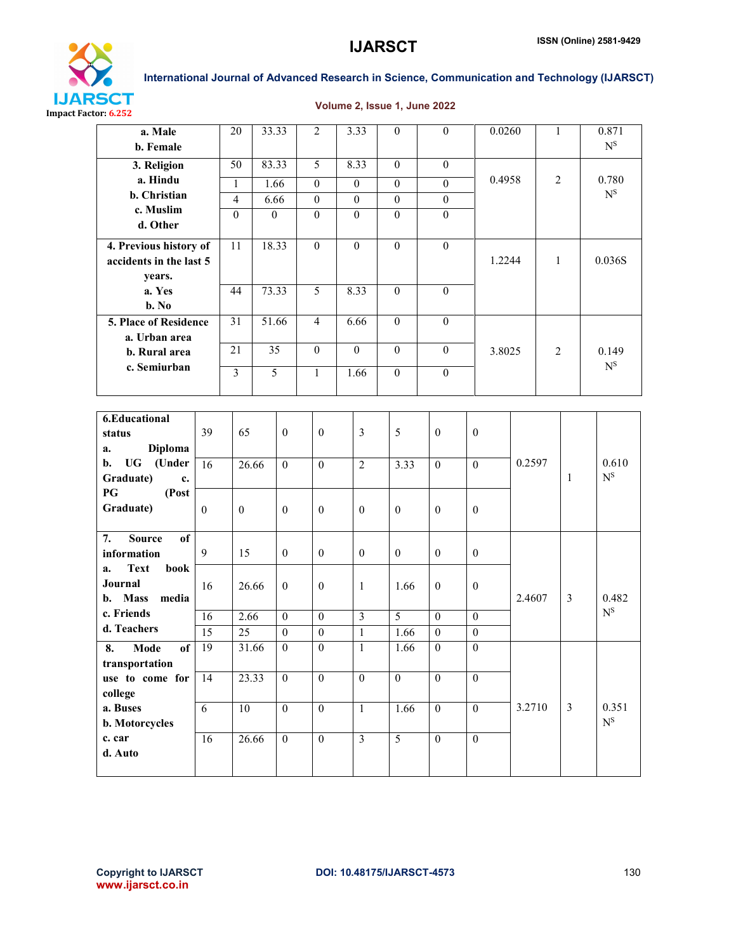



#### Volume 2, Issue 1, June 2022

| a. Male<br>b. Female       |                  | 20               | 33.33            |                  | $\overline{2}$   | 3.33             | $\boldsymbol{0}$ | $\boldsymbol{0}$ |                  | 0.0260       |        | $\mathbf{1}$   |                | 0.871<br>$N^{\rm S}$      |
|----------------------------|------------------|------------------|------------------|------------------|------------------|------------------|------------------|------------------|------------------|--------------|--------|----------------|----------------|---------------------------|
| 3. Religion                |                  | $\overline{50}$  | 83.33            |                  | 5                | 8.33             | $\overline{0}$   | $\mathbf{0}$     |                  |              |        |                |                |                           |
| a. Hindu                   |                  | $\mathbf{1}$     | 1.66             |                  | $\boldsymbol{0}$ | $\overline{0}$   | $\boldsymbol{0}$ | $\boldsymbol{0}$ |                  |              | 0.4958 |                | $\overline{2}$ | 0.780                     |
| b. Christian               |                  | $\overline{4}$   | 6.66             |                  | $\boldsymbol{0}$ | $\boldsymbol{0}$ | $\boldsymbol{0}$ | $\boldsymbol{0}$ |                  |              |        |                |                | $\mathbf{N}^{\mathbf{S}}$ |
| c. Muslim                  |                  | $\mathbf{0}$     | $\boldsymbol{0}$ |                  | $\boldsymbol{0}$ | $\boldsymbol{0}$ | $\boldsymbol{0}$ | $\boldsymbol{0}$ |                  |              |        |                |                |                           |
| d. Other                   |                  |                  |                  |                  |                  |                  |                  |                  |                  |              |        |                |                |                           |
| 4. Previous history of     |                  | 11               | 18.33            |                  | $\boldsymbol{0}$ | $\boldsymbol{0}$ | $\boldsymbol{0}$ | $\boldsymbol{0}$ |                  |              |        |                |                |                           |
| accidents in the last 5    |                  |                  |                  |                  |                  |                  |                  |                  |                  | 1.2244       |        | $\mathbf{1}$   |                | 0.036S                    |
| years.                     |                  |                  |                  |                  |                  |                  |                  |                  |                  |              |        |                |                |                           |
| a. Yes<br>$b. No$          |                  | 44               | 73.33            |                  | 5                | 8.33             | $\boldsymbol{0}$ | $\mathbf{0}$     |                  |              |        |                |                |                           |
| 5. Place of Residence      |                  | $\overline{31}$  | 51.66            |                  | $\overline{4}$   | 6.66             | $\overline{0}$   | $\overline{0}$   |                  |              |        |                |                |                           |
| a. Urban area              |                  |                  |                  |                  |                  |                  |                  |                  |                  |              |        |                |                |                           |
| b. Rural area              |                  | $\overline{21}$  | 35               |                  | $\mathbf{0}$     | $\overline{0}$   |                  | $\boldsymbol{0}$ |                  | 3.8025       |        | $\overline{2}$ |                | 0.149                     |
| c. Semiurban               |                  | $\overline{3}$   | $\overline{5}$   |                  | $\mathbf{1}$     | 1.66             | $\boldsymbol{0}$ | $\overline{0}$   |                  |              |        |                |                | $\mathbf{N}^{\mathbf{S}}$ |
|                            |                  |                  |                  |                  |                  |                  |                  |                  |                  |              |        |                |                |                           |
|                            |                  |                  |                  |                  |                  |                  |                  |                  |                  |              |        |                |                |                           |
| <b>6.Educational</b>       |                  |                  |                  |                  |                  |                  |                  |                  |                  |              |        |                |                |                           |
| status                     | 39               | 65               |                  | $\mathbf{0}$     | $\mathbf{0}$     | $\overline{3}$   | 5                | $\mathbf{0}$     | $\boldsymbol{0}$ |              |        |                |                |                           |
| <b>Diploma</b><br>a.       |                  |                  |                  |                  |                  |                  |                  |                  |                  |              |        |                |                |                           |
| (Under<br><b>UG</b><br>b.  | $\overline{16}$  |                  | 26.66            | $\mathbf{0}$     | $\boldsymbol{0}$ | $\overline{2}$   | 3.33             | $\boldsymbol{0}$ |                  | $\mathbf{0}$ | 0.2597 |                |                | 0.610                     |
| Graduate)<br>c.            |                  |                  |                  |                  |                  |                  |                  |                  |                  |              |        |                | 1              | ${\bf N}^{\rm S}$         |
| PG<br>(Post<br>Graduate)   |                  |                  |                  |                  |                  |                  |                  |                  |                  |              |        |                |                |                           |
|                            | $\boldsymbol{0}$ | $\boldsymbol{0}$ |                  | $\boldsymbol{0}$ | $\boldsymbol{0}$ | $\boldsymbol{0}$ | $\boldsymbol{0}$ | $\boldsymbol{0}$ | $\boldsymbol{0}$ |              |        |                |                |                           |
| 7.<br><b>Source</b><br>of  |                  |                  |                  |                  |                  |                  |                  |                  |                  |              |        |                |                |                           |
| information                | 9                | 15               |                  | $\boldsymbol{0}$ | $\boldsymbol{0}$ | $\boldsymbol{0}$ | $\boldsymbol{0}$ | $\boldsymbol{0}$ | $\boldsymbol{0}$ |              |        |                |                |                           |
| <b>Text</b><br>book<br>a.  |                  |                  |                  |                  |                  |                  |                  |                  |                  |              |        |                |                |                           |
| Journal                    | 16               |                  | 26.66            | $\mathbf{0}$     | $\boldsymbol{0}$ | $\mathbf{1}$     | 1.66             | $\boldsymbol{0}$ | $\boldsymbol{0}$ |              |        |                |                |                           |
| <b>Mass</b><br>media<br>b. |                  |                  |                  |                  |                  |                  |                  |                  |                  |              | 2.4607 |                | $\overline{3}$ | 0.482                     |
| c. Friends                 | 16               | 2.66             |                  | $\boldsymbol{0}$ | $\boldsymbol{0}$ | $\overline{3}$   | 5                | $\boldsymbol{0}$ |                  | $\mathbf{0}$ |        |                |                | ${\bf N}^{\rm S}$         |
| d. Teachers                | $\overline{15}$  | $\overline{25}$  |                  | $\boldsymbol{0}$ | $\overline{0}$   | $\mathbf{1}$     | 1.66             | $\boldsymbol{0}$ | $\boldsymbol{0}$ |              |        |                |                |                           |
| Mode<br>of<br>8.           | $\overline{19}$  |                  | 31.66            | $\boldsymbol{0}$ | $\boldsymbol{0}$ | $\mathbf{1}$     | 1.66             | $\boldsymbol{0}$ | $\boldsymbol{0}$ |              |        |                |                |                           |
| transportation             |                  |                  |                  |                  |                  |                  |                  |                  |                  |              |        |                |                |                           |
| use to come for<br>14      |                  |                  | 23.33            | $\boldsymbol{0}$ | $\overline{0}$   | $\boldsymbol{0}$ | $\overline{0}$   | $\overline{0}$   | $\overline{0}$   |              |        |                |                |                           |
| college<br>a. Buses        |                  | $10\,$           |                  | $\overline{0}$   | $\boldsymbol{0}$ | $\mathbf{1}$     | 1.66             | $\boldsymbol{0}$ | $\mathbf{0}$     |              | 3.2710 |                | $\overline{3}$ | 0.351                     |
| b. Motorcycles             | 6                |                  |                  |                  |                  |                  |                  |                  |                  |              |        |                |                | $\mathbf{N}^{\mathbf{S}}$ |
| c. car                     | 16               |                  | 26.66            | $\overline{0}$   | $\overline{0}$   | $\overline{3}$   | $\overline{5}$   | $\overline{0}$   | $\overline{0}$   |              |        |                |                |                           |
| d. Auto                    |                  |                  |                  |                  |                  |                  |                  |                  |                  |              |        |                |                |                           |
|                            |                  |                  |                  |                  |                  |                  |                  |                  |                  |              |        |                |                |                           |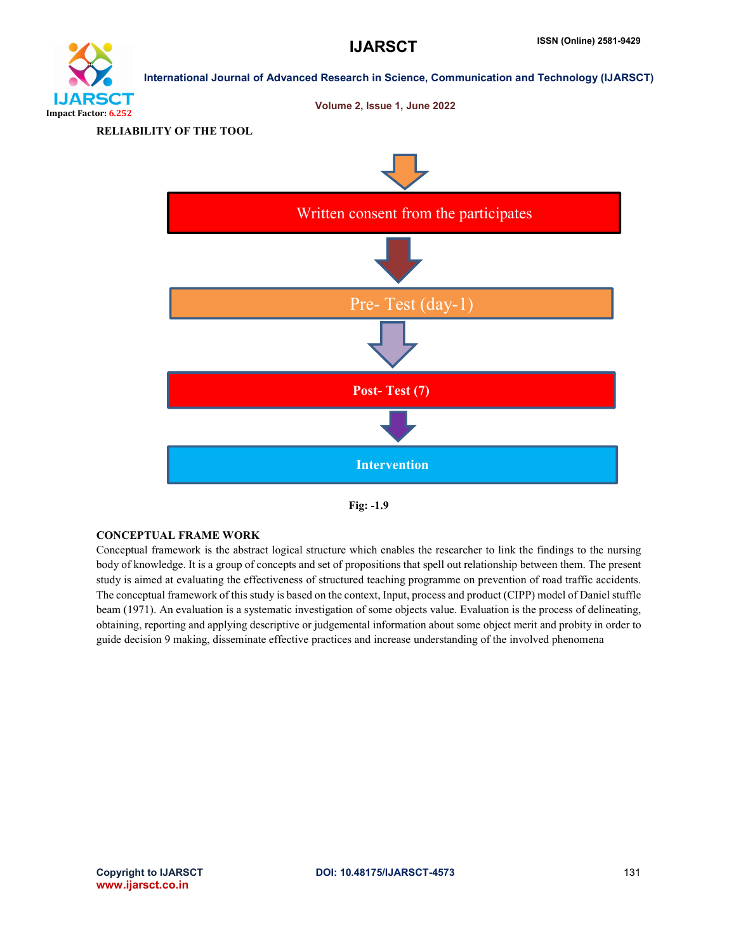



RELIABILITY OF THE TOOL





#### CONCEPTUAL FRAME WORK

Conceptual framework is the abstract logical structure which enables the researcher to link the findings to the nursing body of knowledge. It is a group of concepts and set of propositions that spell out relationship between them. The present study is aimed at evaluating the effectiveness of structured teaching programme on prevention of road traffic accidents. The conceptual framework of this study is based on the context, Input, process and product (CIPP) model of Daniel stuffle beam (1971). An evaluation is a systematic investigation of some objects value. Evaluation is the process of delineating, obtaining, reporting and applying descriptive or judgemental information about some object merit and probity in order to guide decision 9 making, disseminate effective practices and increase understanding of the involved phenomena